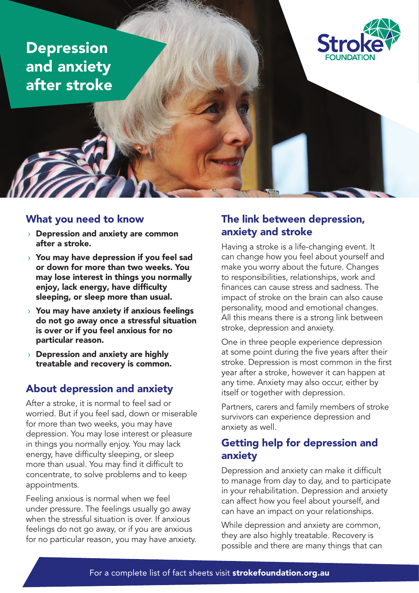Depression and anxiety after stroke



#### What you need to know

- › Depression and anxiety are common after a stroke.
- $\rightarrow$  You may have depression if you feel sad or down for more than two weeks. You may lose interest in things you normally enjoy, lack energy, have difficulty sleeping, or sleep more than usual.
- $\rightarrow$  You may have anxiety if anxious feelings do not go away once a stressful situation is over or if you feel anxious for no particular reason.
- $\rightarrow$  Depression and anxiety are highly treatable and recovery is common.

## About depression and anxiety

After a stroke, it is normal to feel sad or worried. But if you feel sad, down or miserable for more than two weeks, you may have depression. You may lose interest or pleasure in things you normally enjoy. You may lack energy, have difficulty sleeping, or sleep more than usual. You may find it difficult to concentrate, to solve problems and to keep appointments.

Feeling anxious is normal when we feel under pressure. The feelings usually go away when the stressful situation is over. If anxious feelings do not go away, or if you are anxious for no particular reason, you may have anxiety.

## The link between depression, anxiety and stroke

Having a stroke is a life-changing event. It can change how you feel about yourself and make you worry about the future. Changes to responsibilities, relationships, work and finances can cause stress and sadness. The impact of stroke on the brain can also cause personality, mood and emotional changes. All this means there is a strong link between stroke, depression and anxiety.

One in three people experience depression at some point during the five years after their stroke. Depression is most common in the first year after a stroke, however it can happen at any time. Anxiety may also occur, either by itself or together with depression.

Partners, carers and family members of stroke survivors can experience depression and anxiety as well.

## Getting help for depression and anxiety

Depression and anxiety can make it difficult to manage from day to day, and to participate in your rehabilitation. Depression and anxiety can affect how you feel about yourself, and can have an impact on your relationships.

While depression and anxiety are common, they are also highly treatable. Recovery is possible and there are many things that can